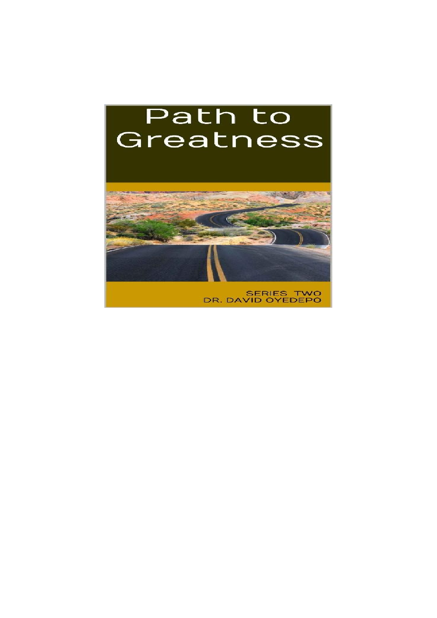# Path to Greatness



SERIES TWO<br>DR. DAVID OYEDEPO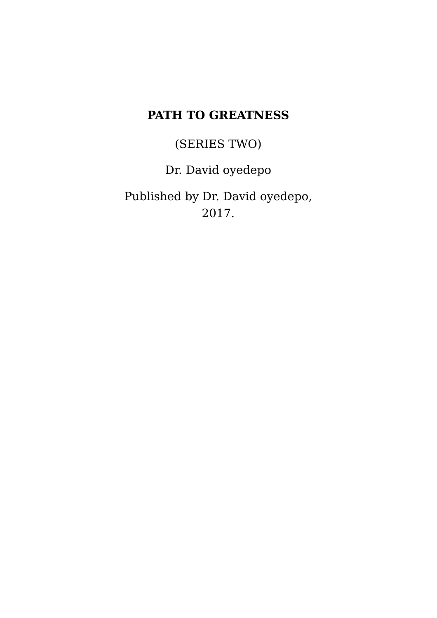# **PATH TO GREATNESS**

(SERIES TWO)

Dr. David oyedepo

Published by Dr. David oyedepo, 2017.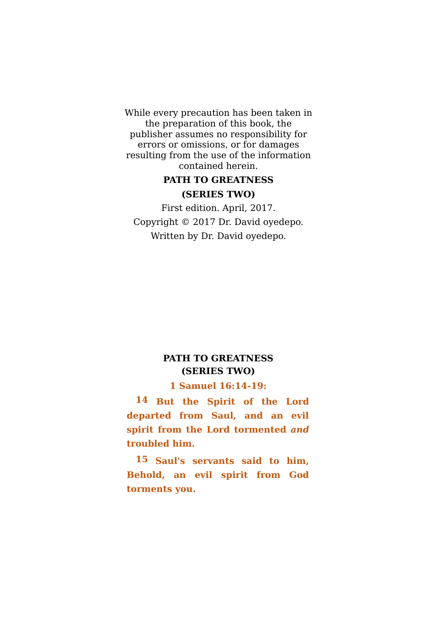While every precaution has been taken in the preparation of this book, the publisher assumes no responsibility for errors or omissions, or for damages resulting from the use of the information contained herein.

## **PATH TO GREATNESS (SERIES TWO)**

First edition. April, 2017. Copyright © 2017 Dr. David oyedepo. Written by Dr. David oyedepo.

### **PATH TO GREATNESS (SERIES TWO)**

#### **1 Samuel 16:14-19:**

**14 But the Spirit of the Lord departed from Saul, and an evil spirit from the Lord tormented** *and* **troubled him.**

**15 Saul's servants said to him, Behold, an evil spirit from God torments you.**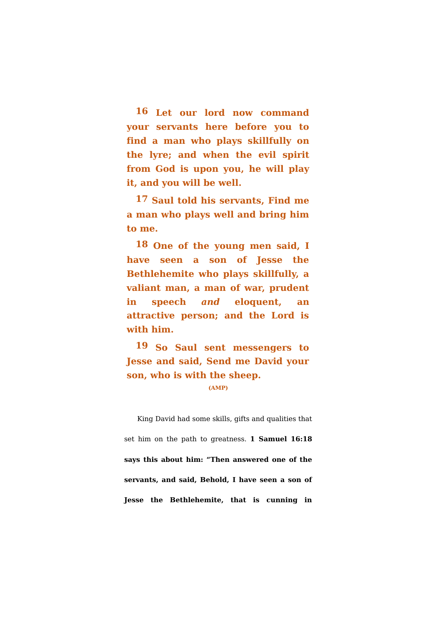**16 Let our lord now command your servants here before you to find a man who plays skillfully on the lyre; and when the evil spirit from God is upon you, he will play it, and you will be well.**

**17 Saul told his servants, Find me a man who plays well and bring him to me.**

**18 One of the young men said, I have seen a son of Jesse the Bethlehemite who plays skillfully, a valiant man, a man of war, prudent in speech** *and* **eloquent, an attractive person; and the Lord is with him.**

**19 So Saul sent messengers to Jesse and said, Send me David your son, who is with the sheep.**

**(AMP)**

King David had some skills, gifts and qualities that set him on the path to greatness. **1 Samuel 16:18 says this about him: "Then answered one of the servants, and said, Behold, I have seen a son of Jesse the Bethlehemite, that is cunning in**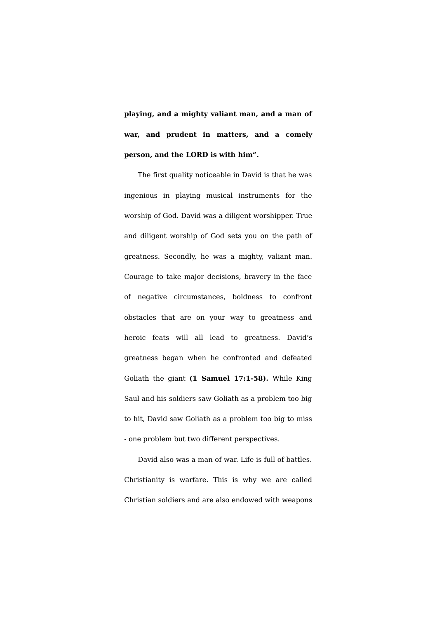**playing, and a mighty valiant man, and a man of war, and prudent in matters, and a comely person, and the LORD is with him".**

The first quality noticeable in David is that he was ingenious in playing musical instruments for the worship of God. David was a diligent worshipper. True and diligent worship of God sets you on the path of greatness. Secondly, he was a mighty, valiant man. Courage to take major decisions, bravery in the face of negative circumstances, boldness to confront obstacles that are on your way to greatness and heroic feats will all lead to greatness. David's greatness began when he confronted and defeated Goliath the giant **(1 Samuel 17:1-58).** While King Saul and his soldiers saw Goliath as a problem too big to hit, David saw Goliath as a problem too big to miss - one problem but two different perspectives.

David also was a man of war. Life is full of battles. Christianity is warfare. This is why we are called Christian soldiers and are also endowed with weapons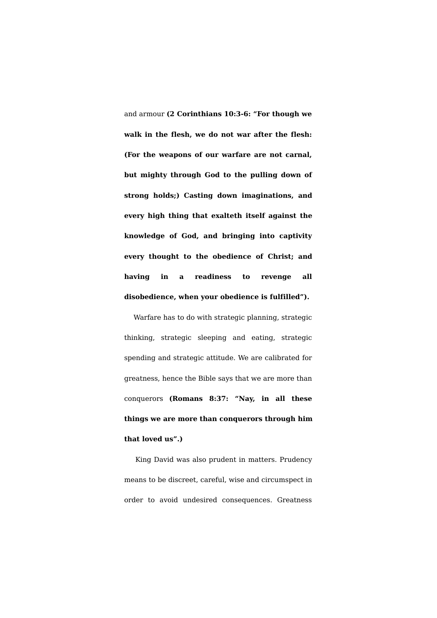and armour **(2 Corinthians 10:3-6: "For though we walk in the flesh, we do not war after the flesh: (For the weapons of our warfare are not carnal, but mighty through God to the pulling down of strong holds;) Casting down imaginations, and every high thing that exalteth itself against the knowledge of God, and bringing into captivity every thought to the obedience of Christ; and having in a readiness to revenge all disobedience, when your obedience is fulfilled").**

Warfare has to do with strategic planning, strategic thinking, strategic sleeping and eating, strategic spending and strategic attitude. We are calibrated for greatness, hence the Bible says that we are more than conquerors **(Romans 8:37: "Nay, in all these things we are more than conquerors through him that loved us".)**

King David was also prudent in matters. Prudency means to be discreet, careful, wise and circumspect in order to avoid undesired consequences. Greatness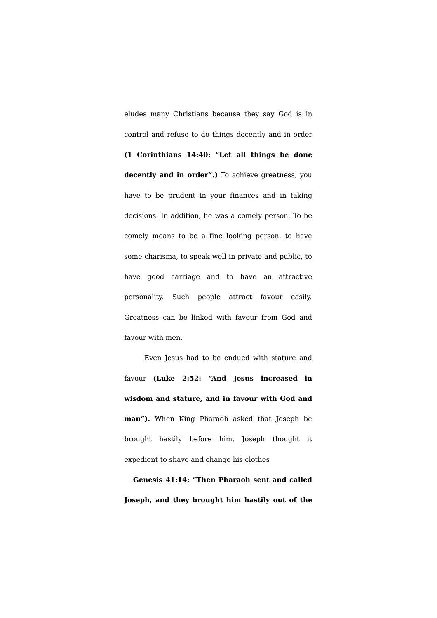eludes many Christians because they say God is in control and refuse to do things decently and in order **(1 Corinthians 14:40: "Let all things be done decently and in order".)** To achieve greatness, you have to be prudent in your finances and in taking decisions. In addition, he was a comely person. To be comely means to be a fine looking person, to have some charisma, to speak well in private and public, to have good carriage and to have an attractive personality. Such people attract favour easily. Greatness can be linked with favour from God and favour with men.

Even Jesus had to be endued with stature and favour **(Luke 2:52: "And Jesus increased in wisdom and stature, and in favour with God and man").** When King Pharaoh asked that Joseph be brought hastily before him, Joseph thought it expedient to shave and change his clothes

**Genesis 41:14: "Then Pharaoh sent and called Joseph, and they brought him hastily out of the**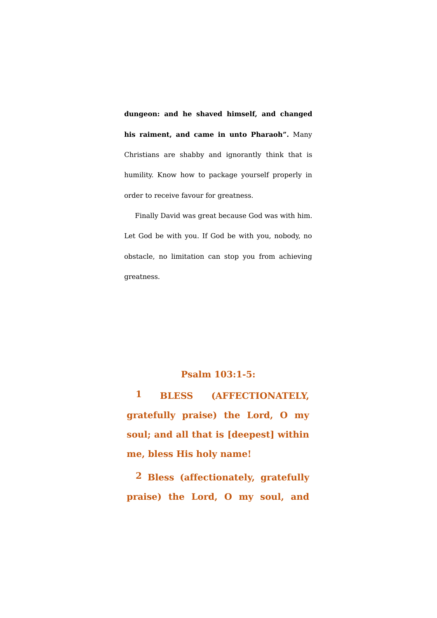**dungeon: and he shaved himself, and changed his raiment, and came in unto Pharaoh".** Many Christians are shabby and ignorantly think that is humility. Know how to package yourself properly in order to receive favour for greatness.

Finally David was great because God was with him. Let God be with you. If God be with you, nobody, no obstacle, no limitation can stop you from achieving greatness.

#### **Psalm 103:1-5:**

**1 BLESS (AFFECTIONATELY, gratefully praise) the Lord, O my soul; and all that is [deepest] within me, bless His holy name!**

**2 Bless (affectionately, gratefully praise) the Lord, O my soul, and**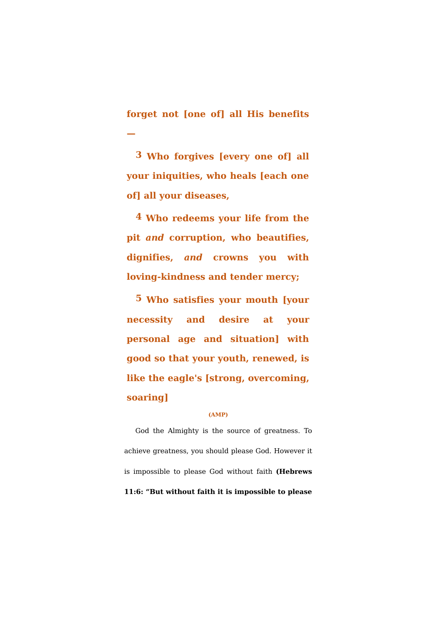**forget not [one of] all His benefits —**

**3 Who forgives [every one of] all your iniquities, who heals [each one of] all your diseases,**

**4 Who redeems your life from the pit** *and* **corruption, who beautifies, dignifies,** *and* **crowns you with loving-kindness and tender mercy;**

**5 Who satisfies your mouth [your necessity and desire at your personal age and situation] with good so that your youth, renewed, is like the eagle's [strong, overcoming, soaring]**

#### **(AMP)**

God the Almighty is the source of greatness. To achieve greatness, you should please God. However it is impossible to please God without faith **(Hebrews 11:6: "But without faith it is impossible to please**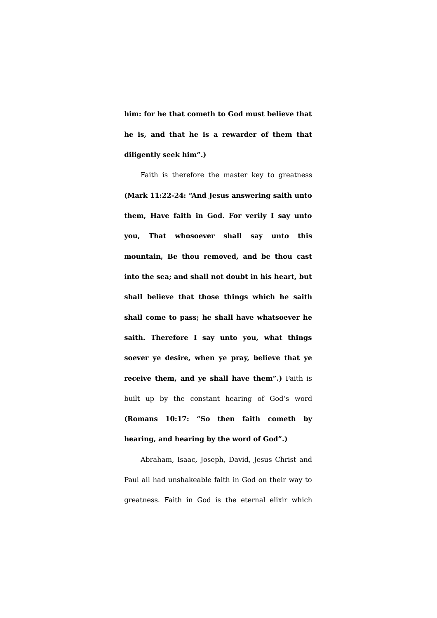**him: for he that cometh to God must believe that he is, and that he is a rewarder of them that diligently seek him".)**

Faith is therefore the master key to greatness **(Mark 11:22-24: "And Jesus answering saith unto them, Have faith in God. For verily I say unto you, That whosoever shall say unto this mountain, Be thou removed, and be thou cast into the sea; and shall not doubt in his heart, but shall believe that those things which he saith shall come to pass; he shall have whatsoever he saith. Therefore I say unto you, what things soever ye desire, when ye pray, believe that ye receive them, and ye shall have them".)** Faith is built up by the constant hearing of God's word **(Romans 10:17: "So then faith cometh by hearing, and hearing by the word of God".)**

Abraham, Isaac, Joseph, David, Jesus Christ and Paul all had unshakeable faith in God on their way to greatness. Faith in God is the eternal elixir which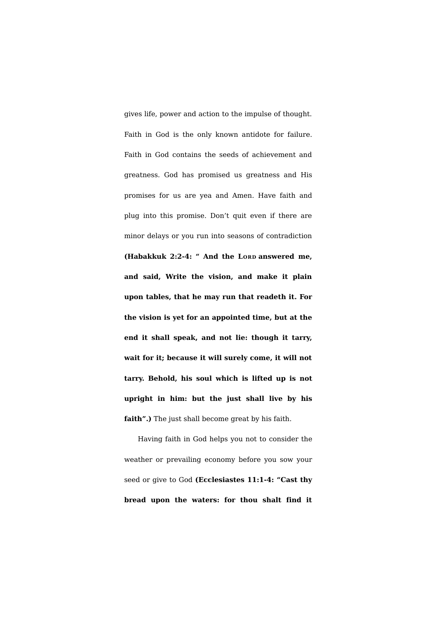gives life, power and action to the impulse of thought. Faith in God is the only known antidote for failure. Faith in God contains the seeds of achievement and greatness. God has promised us greatness and His promises for us are yea and Amen. Have faith and plug into this promise. Don't quit even if there are minor delays or you run into seasons of contradiction **(Habakkuk 2:2-4: " And the LORD answered me, and said, Write the vision, and make it plain upon tables, that he may run that readeth it. For the vision is yet for an appointed time, but at the end it shall speak, and not lie: though it tarry, wait for it; because it will surely come, it will not tarry. Behold, his soul which is lifted up is not upright in him: but the just shall live by his faith".)** The just shall become great by his faith.

Having faith in God helps you not to consider the weather or prevailing economy before you sow your seed or give to God **(Ecclesiastes 11:1-4: "Cast thy bread upon the waters: for thou shalt find it**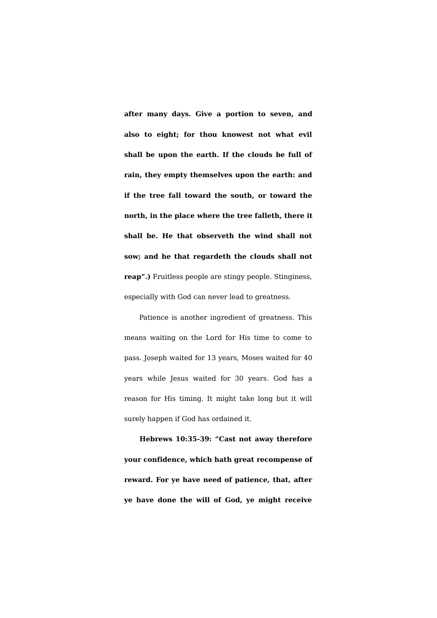**after many days. Give a portion to seven, and also to eight; for thou knowest not what evil shall be upon the earth. If the clouds be full of rain, they empty themselves upon the earth: and if the tree fall toward the south, or toward the north, in the place where the tree falleth, there it shall be. He that observeth the wind shall not sow; and he that regardeth the clouds shall not reap".)** Fruitless people are stingy people. Stinginess, especially with God can never lead to greatness.

Patience is another ingredient of greatness. This means waiting on the Lord for His time to come to pass. Joseph waited for 13 years, Moses waited for 40 years while Jesus waited for 30 years. God has a reason for His timing. It might take long but it will surely happen if God has ordained it.

**Hebrews 10:35-39: "Cast not away therefore your confidence, which hath great recompense of reward. For ye have need of patience, that, after ye have done the will of God, ye might receive**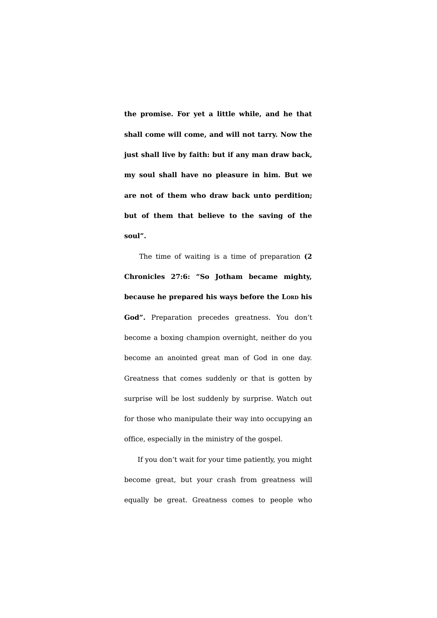**the promise. For yet a little while, and he that shall come will come, and will not tarry. Now the just shall live by faith: but if any man draw back, my soul shall have no pleasure in him. But we are not of them who draw back unto perdition; but of them that believe to the saving of the soul".**

The time of waiting is a time of preparation **(2 Chronicles 27:6: "So Jotham became mighty, because he prepared his ways before the LORD his God".** Preparation precedes greatness. You don't become a boxing champion overnight, neither do you become an anointed great man of God in one day. Greatness that comes suddenly or that is gotten by surprise will be lost suddenly by surprise. Watch out for those who manipulate their way into occupying an office, especially in the ministry of the gospel.

If you don't wait for your time patiently, you might become great, but your crash from greatness will equally be great. Greatness comes to people who